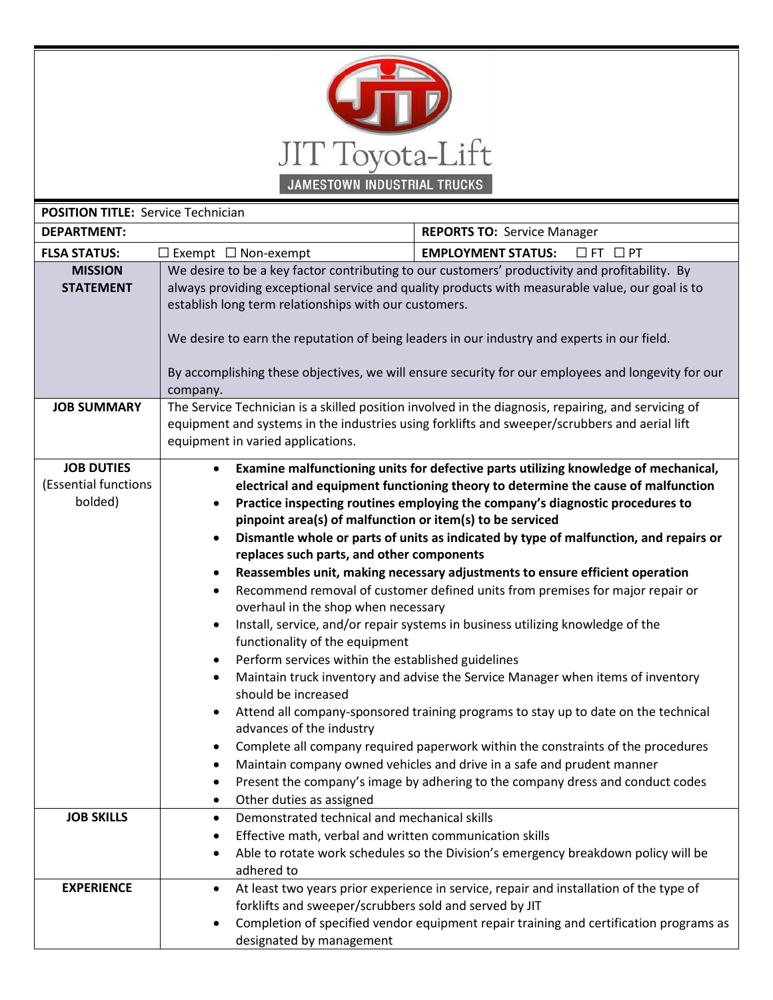

| <b>POSITION TITLE: Service Technician</b>            |                                                                                                                                                                                                                                                                                                                                                                                                                                                                                                                                                                                                                                                                                                                                                                                                                                                                                                                                                                                                                                                                                                                                                                                                                                                                                                                                                                                                                                                                                                       |                                                                                                                                                                                  |
|------------------------------------------------------|-------------------------------------------------------------------------------------------------------------------------------------------------------------------------------------------------------------------------------------------------------------------------------------------------------------------------------------------------------------------------------------------------------------------------------------------------------------------------------------------------------------------------------------------------------------------------------------------------------------------------------------------------------------------------------------------------------------------------------------------------------------------------------------------------------------------------------------------------------------------------------------------------------------------------------------------------------------------------------------------------------------------------------------------------------------------------------------------------------------------------------------------------------------------------------------------------------------------------------------------------------------------------------------------------------------------------------------------------------------------------------------------------------------------------------------------------------------------------------------------------------|----------------------------------------------------------------------------------------------------------------------------------------------------------------------------------|
| <b>DEPARTMENT:</b>                                   |                                                                                                                                                                                                                                                                                                                                                                                                                                                                                                                                                                                                                                                                                                                                                                                                                                                                                                                                                                                                                                                                                                                                                                                                                                                                                                                                                                                                                                                                                                       | <b>REPORTS TO: Service Manager</b>                                                                                                                                               |
| <b>FLSA STATUS:</b>                                  | $\Box$ Exempt $\Box$ Non-exempt                                                                                                                                                                                                                                                                                                                                                                                                                                                                                                                                                                                                                                                                                                                                                                                                                                                                                                                                                                                                                                                                                                                                                                                                                                                                                                                                                                                                                                                                       | <b>EMPLOYMENT STATUS:</b><br>$\Box$ FT $\Box$ PT                                                                                                                                 |
| <b>MISSION</b><br><b>STATEMENT</b>                   | We desire to be a key factor contributing to our customers' productivity and profitability. By<br>always providing exceptional service and quality products with measurable value, our goal is to<br>establish long term relationships with our customers.<br>We desire to earn the reputation of being leaders in our industry and experts in our field.<br>By accomplishing these objectives, we will ensure security for our employees and longevity for our<br>company.                                                                                                                                                                                                                                                                                                                                                                                                                                                                                                                                                                                                                                                                                                                                                                                                                                                                                                                                                                                                                           |                                                                                                                                                                                  |
| <b>JOB SUMMARY</b>                                   | The Service Technician is a skilled position involved in the diagnosis, repairing, and servicing of<br>equipment and systems in the industries using forklifts and sweeper/scrubbers and aerial lift<br>equipment in varied applications.                                                                                                                                                                                                                                                                                                                                                                                                                                                                                                                                                                                                                                                                                                                                                                                                                                                                                                                                                                                                                                                                                                                                                                                                                                                             |                                                                                                                                                                                  |
| <b>JOB DUTIES</b><br>(Essential functions<br>bolded) | Examine malfunctioning units for defective parts utilizing knowledge of mechanical,<br>$\bullet$<br>electrical and equipment functioning theory to determine the cause of malfunction<br>Practice inspecting routines employing the company's diagnostic procedures to<br>$\bullet$<br>pinpoint area(s) of malfunction or item(s) to be serviced<br>Dismantle whole or parts of units as indicated by type of malfunction, and repairs or<br>$\bullet$<br>replaces such parts, and other components<br>Reassembles unit, making necessary adjustments to ensure efficient operation<br>$\bullet$<br>Recommend removal of customer defined units from premises for major repair or<br>$\bullet$<br>overhaul in the shop when necessary<br>Install, service, and/or repair systems in business utilizing knowledge of the<br>$\bullet$<br>functionality of the equipment<br>Perform services within the established guidelines<br>$\bullet$<br>Maintain truck inventory and advise the Service Manager when items of inventory<br>$\bullet$<br>should be increased<br>Attend all company-sponsored training programs to stay up to date on the technical<br>$\bullet$<br>advances of the industry<br>Complete all company required paperwork within the constraints of the procedures<br>Maintain company owned vehicles and drive in a safe and prudent manner<br>Present the company's image by adhering to the company dress and conduct codes<br>$\bullet$<br>Other duties as assigned<br>$\bullet$ |                                                                                                                                                                                  |
| <b>JOB SKILLS</b>                                    | Demonstrated technical and mechanical skills<br>$\bullet$<br>Effective math, verbal and written communication skills<br>$\bullet$<br>$\bullet$<br>adhered to                                                                                                                                                                                                                                                                                                                                                                                                                                                                                                                                                                                                                                                                                                                                                                                                                                                                                                                                                                                                                                                                                                                                                                                                                                                                                                                                          | Able to rotate work schedules so the Division's emergency breakdown policy will be                                                                                               |
| <b>EXPERIENCE</b>                                    | $\bullet$<br>forklifts and sweeper/scrubbers sold and served by JIT<br>$\bullet$<br>designated by management                                                                                                                                                                                                                                                                                                                                                                                                                                                                                                                                                                                                                                                                                                                                                                                                                                                                                                                                                                                                                                                                                                                                                                                                                                                                                                                                                                                          | At least two years prior experience in service, repair and installation of the type of<br>Completion of specified vendor equipment repair training and certification programs as |